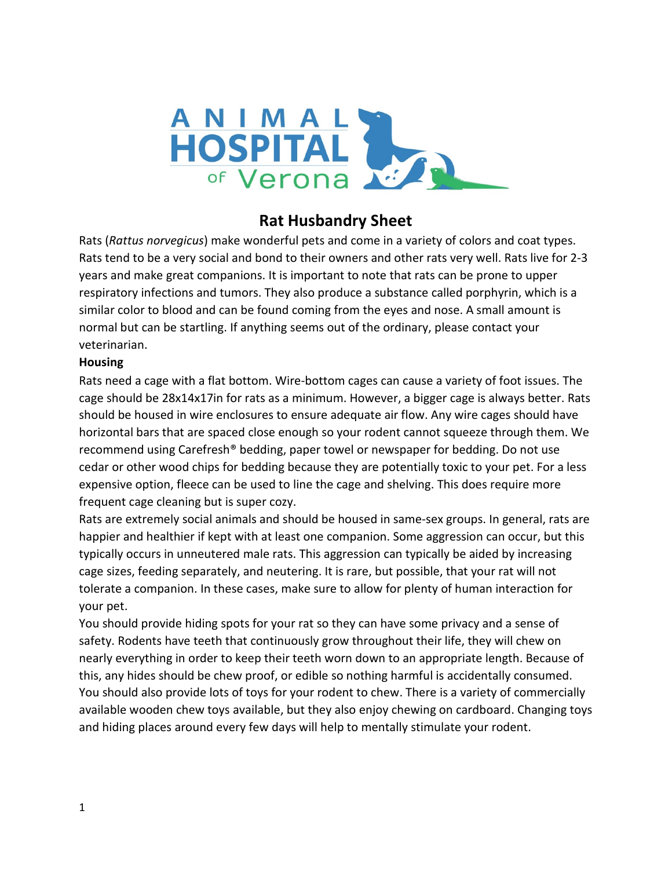

# **Rat Husbandry Sheet**

Rats (*Rattus norvegicus*) make wonderful pets and come in a variety of colors and coat types. Rats tend to be a very social and bond to their owners and other rats very well. Rats live for 2-3 years and make great companions. It is important to note that rats can be prone to upper respiratory infections and tumors. They also produce a substance called porphyrin, which is a similar color to blood and can be found coming from the eyes and nose. A small amount is normal but can be startling. If anything seems out of the ordinary, please contact your veterinarian.

#### **Housing**

Rats need a cage with a flat bottom. Wire-bottom cages can cause a variety of foot issues. The cage should be 28x14x17in for rats as a minimum. However, a bigger cage is always better. Rats should be housed in wire enclosures to ensure adequate air flow. Any wire cages should have horizontal bars that are spaced close enough so your rodent cannot squeeze through them. We recommend using Carefresh® bedding, paper towel or newspaper for bedding. Do not use cedar or other wood chips for bedding because they are potentially toxic to your pet. For a less expensive option, fleece can be used to line the cage and shelving. This does require more frequent cage cleaning but is super cozy.

Rats are extremely social animals and should be housed in same-sex groups. In general, rats are happier and healthier if kept with at least one companion. Some aggression can occur, but this typically occurs in unneutered male rats. This aggression can typically be aided by increasing cage sizes, feeding separately, and neutering. It is rare, but possible, that your rat will not tolerate a companion. In these cases, make sure to allow for plenty of human interaction for your pet.

You should provide hiding spots for your rat so they can have some privacy and a sense of safety. Rodents have teeth that continuously grow throughout their life, they will chew on nearly everything in order to keep their teeth worn down to an appropriate length. Because of this, any hides should be chew proof, or edible so nothing harmful is accidentally consumed. You should also provide lots of toys for your rodent to chew. There is a variety of commercially available wooden chew toys available, but they also enjoy chewing on cardboard. Changing toys and hiding places around every few days will help to mentally stimulate your rodent.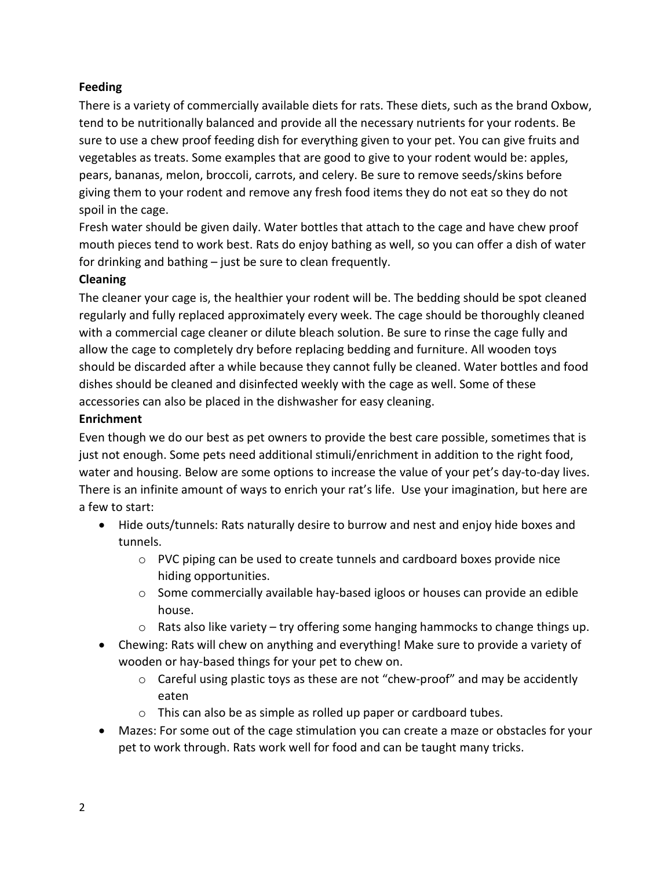## **Feeding**

There is a variety of commercially available diets for rats. These diets, such as the brand Oxbow, tend to be nutritionally balanced and provide all the necessary nutrients for your rodents. Be sure to use a chew proof feeding dish for everything given to your pet. You can give fruits and vegetables as treats. Some examples that are good to give to your rodent would be: apples, pears, bananas, melon, broccoli, carrots, and celery. Be sure to remove seeds/skins before giving them to your rodent and remove any fresh food items they do not eat so they do not spoil in the cage.

Fresh water should be given daily. Water bottles that attach to the cage and have chew proof mouth pieces tend to work best. Rats do enjoy bathing as well, so you can offer a dish of water for drinking and bathing – just be sure to clean frequently.

#### **Cleaning**

The cleaner your cage is, the healthier your rodent will be. The bedding should be spot cleaned regularly and fully replaced approximately every week. The cage should be thoroughly cleaned with a commercial cage cleaner or dilute bleach solution. Be sure to rinse the cage fully and allow the cage to completely dry before replacing bedding and furniture. All wooden toys should be discarded after a while because they cannot fully be cleaned. Water bottles and food dishes should be cleaned and disinfected weekly with the cage as well. Some of these accessories can also be placed in the dishwasher for easy cleaning.

## **Enrichment**

Even though we do our best as pet owners to provide the best care possible, sometimes that is just not enough. Some pets need additional stimuli/enrichment in addition to the right food, water and housing. Below are some options to increase the value of your pet's day-to-day lives. There is an infinite amount of ways to enrich your rat's life. Use your imagination, but here are a few to start:

- Hide outs/tunnels: Rats naturally desire to burrow and nest and enjoy hide boxes and tunnels.
	- $\circ$  PVC piping can be used to create tunnels and cardboard boxes provide nice hiding opportunities.
	- $\circ$  Some commercially available hay-based igloos or houses can provide an edible house.
	- o Rats also like variety try offering some hanging hammocks to change things up.
- Chewing: Rats will chew on anything and everything! Make sure to provide a variety of wooden or hay-based things for your pet to chew on.
	- $\circ$  Careful using plastic toys as these are not "chew-proof" and may be accidently eaten
	- o This can also be as simple as rolled up paper or cardboard tubes.
- Mazes: For some out of the cage stimulation you can create a maze or obstacles for your pet to work through. Rats work well for food and can be taught many tricks.